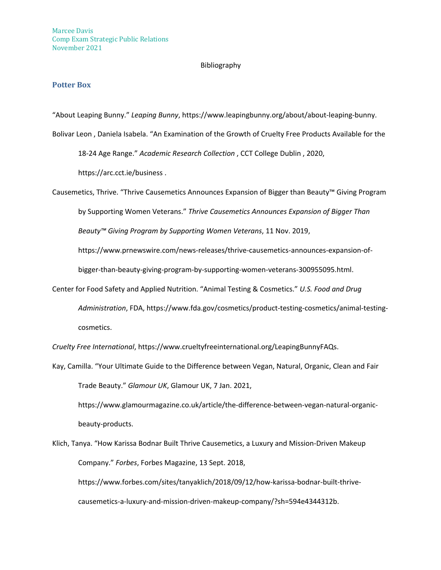### Bibliography

# **Potter Box**

"About Leaping Bunny." *Leaping Bunny*, https://www.leapingbunny.org/about/about-leaping-bunny.

Bolivar Leon , Daniela Isabela. "An Examination of the Growth of Cruelty Free Products Available for the 18-24 Age Range." *Academic Research Collection* , CCT College Dublin , 2020,

https://arc.cct.ie/business .

Causemetics, Thrive. "Thrive Causemetics Announces Expansion of Bigger than Beauty™ Giving Program by Supporting Women Veterans." *Thrive Causemetics Announces Expansion of Bigger Than Beauty™ Giving Program by Supporting Women Veterans*, 11 Nov. 2019,

https://www.prnewswire.com/news-releases/thrive-causemetics-announces-expansion-of-

bigger-than-beauty-giving-program-by-supporting-women-veterans-300955095.html.

Center for Food Safety and Applied Nutrition. "Animal Testing & Cosmetics." *U.S. Food and Drug Administration*, FDA, https://www.fda.gov/cosmetics/product-testing-cosmetics/animal-testingcosmetics.

*Cruelty Free International*, https://www.crueltyfreeinternational.org/LeapingBunnyFAQs.

Kay, Camilla. "Your Ultimate Guide to the Difference between Vegan, Natural, Organic, Clean and Fair Trade Beauty." *Glamour UK*, Glamour UK, 7 Jan. 2021,

https://www.glamourmagazine.co.uk/article/the-difference-between-vegan-natural-organicbeauty-products.

Klich, Tanya. "How Karissa Bodnar Built Thrive Causemetics, a Luxury and Mission-Driven Makeup Company." *Forbes*, Forbes Magazine, 13 Sept. 2018,

https://www.forbes.com/sites/tanyaklich/2018/09/12/how-karissa-bodnar-built-thrivecausemetics-a-luxury-and-mission-driven-makeup-company/?sh=594e4344312b.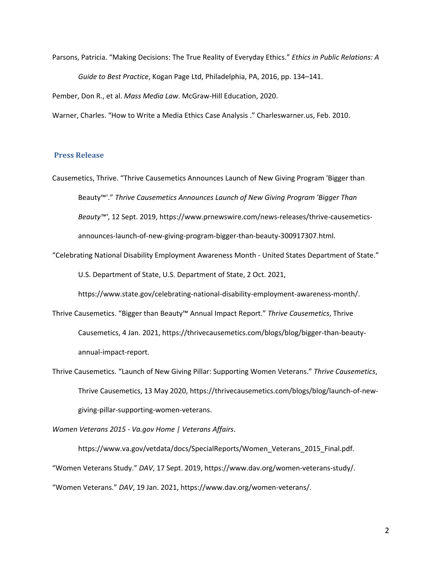Parsons, Patricia. "Making Decisions: The True Reality of Everyday Ethics." *Ethics in Public Relations: A Guide to Best Practice*, Kogan Page Ltd, Philadelphia, PA, 2016, pp. 134–141. Pember, Don R., et al. *Mass Media Law*. McGraw-Hill Education, 2020.

Warner, Charles. "How to Write a Media Ethics Case Analysis ." Charleswarner.us, Feb. 2010.

## **Press Release**

Causemetics, Thrive. "Thrive Causemetics Announces Launch of New Giving Program 'Bigger than Beauty™'." *Thrive Causemetics Announces Launch of New Giving Program 'Bigger Than Beauty™'*, 12 Sept. 2019, https://www.prnewswire.com/news-releases/thrive-causemeticsannounces-launch-of-new-giving-program-bigger-than-beauty-300917307.html.

"Celebrating National Disability Employment Awareness Month - United States Department of State."

U.S. Department of State, U.S. Department of State, 2 Oct. 2021,

https://www.state.gov/celebrating-national-disability-employment-awareness-month/.

Thrive Causemetics. "Bigger than Beauty™ Annual Impact Report." *Thrive Causemetics*, Thrive Causemetics, 4 Jan. 2021, https://thrivecausemetics.com/blogs/blog/bigger-than-beautyannual-impact-report.

Thrive Causemetics. "Launch of New Giving Pillar: Supporting Women Veterans." *Thrive Causemetics*, Thrive Causemetics, 13 May 2020, https://thrivecausemetics.com/blogs/blog/launch-of-newgiving-pillar-supporting-women-veterans.

*Women Veterans 2015 - Va.gov Home | Veterans Affairs*.

https://www.va.gov/vetdata/docs/SpecialReports/Women\_Veterans\_2015\_Final.pdf. "Women Veterans Study." *DAV*, 17 Sept. 2019, https://www.dav.org/women-veterans-study/. "Women Veterans." *DAV*, 19 Jan. 2021, https://www.dav.org/women-veterans/.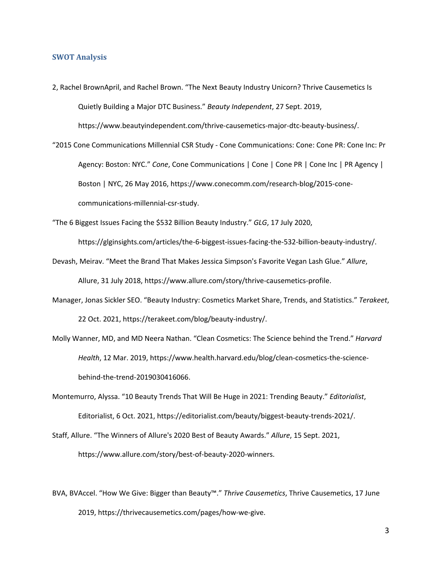#### **SWOT Analysis**

2, Rachel BrownApril, and Rachel Brown. "The Next Beauty Industry Unicorn? Thrive Causemetics Is Quietly Building a Major DTC Business." *Beauty Independent*, 27 Sept. 2019, https://www.beautyindependent.com/thrive-causemetics-major-dtc-beauty-business/.

"2015 Cone Communications Millennial CSR Study - Cone Communications: Cone: Cone PR: Cone Inc: Pr Agency: Boston: NYC." *Cone*, Cone Communications | Cone | Cone PR | Cone Inc | PR Agency | Boston | NYC, 26 May 2016, https://www.conecomm.com/research-blog/2015-conecommunications-millennial-csr-study.

"The 6 Biggest Issues Facing the \$532 Billion Beauty Industry." *GLG*, 17 July 2020,

https://glginsights.com/articles/the-6-biggest-issues-facing-the-532-billion-beauty-industry/.

Devash, Meirav. "Meet the Brand That Makes Jessica Simpson's Favorite Vegan Lash Glue." *Allure*,

Allure, 31 July 2018, https://www.allure.com/story/thrive-causemetics-profile.

Manager, Jonas Sickler SEO. "Beauty Industry: Cosmetics Market Share, Trends, and Statistics." *Terakeet*,

22 Oct. 2021, https://terakeet.com/blog/beauty-industry/.

- Molly Wanner, MD, and MD Neera Nathan. "Clean Cosmetics: The Science behind the Trend." *Harvard Health*, 12 Mar. 2019, https://www.health.harvard.edu/blog/clean-cosmetics-the-sciencebehind-the-trend-2019030416066.
- Montemurro, Alyssa. "10 Beauty Trends That Will Be Huge in 2021: Trending Beauty." *Editorialist*, Editorialist, 6 Oct. 2021, https://editorialist.com/beauty/biggest-beauty-trends-2021/.
- Staff, Allure. "The Winners of Allure's 2020 Best of Beauty Awards." *Allure*, 15 Sept. 2021, https://www.allure.com/story/best-of-beauty-2020-winners.

BVA, BVAccel. "How We Give: Bigger than Beauty™." *Thrive Causemetics*, Thrive Causemetics, 17 June 2019, https://thrivecausemetics.com/pages/how-we-give.